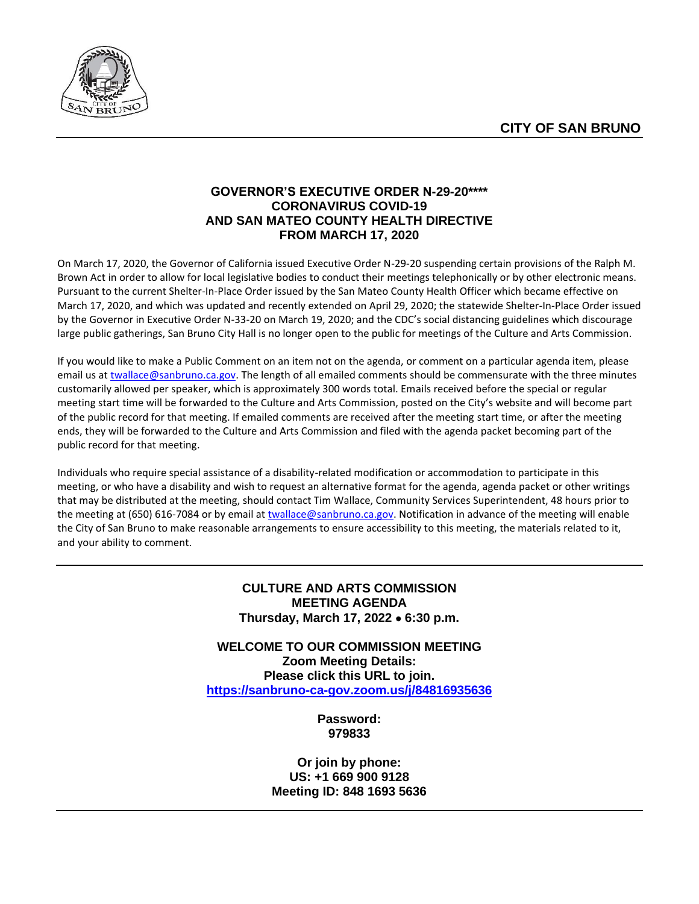

# **GOVERNOR'S EXECUTIVE ORDER N-29-20\*\*\*\* CORONAVIRUS COVID-19 AND SAN MATEO COUNTY HEALTH DIRECTIVE FROM MARCH 17, 2020**

On March 17, 2020, the Governor of California issued Executive Order N-29-20 suspending certain provisions of the Ralph M. Brown Act in order to allow for local legislative bodies to conduct their meetings telephonically or by other electronic means. Pursuant to the current Shelter-In-Place Order issued by the San Mateo County Health Officer which became effective on March 17, 2020, and which was updated and recently extended on April 29, 2020; the statewide Shelter-In-Place Order issued by the Governor in Executive Order N-33-20 on March 19, 2020; and the CDC's social distancing guidelines which discourage large public gatherings, San Bruno City Hall is no longer open to the public for meetings of the Culture and Arts Commission.

If you would like to make a Public Comment on an item not on the agenda, or comment on a particular agenda item, please email us at [twallace@sanbruno.ca.gov.](file://///skyline/public/Bulletin%20Board/Culture%20and%20Arts%20Commission/2020%20Minutes%20&%20Agendas/08-August/twallace@sanbruno.ca.gov) The length of all emailed comments should be commensurate with the three minutes customarily allowed per speaker, which is approximately 300 words total. Emails received before the special or regular meeting start time will be forwarded to the Culture and Arts Commission, posted on the City's website and will become part of the public record for that meeting. If emailed comments are received after the meeting start time, or after the meeting ends, they will be forwarded to the Culture and Arts Commission and filed with the agenda packet becoming part of the public record for that meeting.

Individuals who require special assistance of a disability-related modification or accommodation to participate in this meeting, or who have a disability and wish to request an alternative format for the agenda, agenda packet or other writings that may be distributed at the meeting, should contact Tim Wallace, Community Services Superintendent, 48 hours prior to the meeting at (650) 616-7084 or by email at [twallace@sanbruno.ca.gov.](file://///skyline/public/Bulletin%20Board/Culture%20and%20Arts%20Commission/2020%20Minutes%20&%20Agendas/08-August/twallace@sanbruno.ca.gov) Notification in advance of the meeting will enable the City of San Bruno to make reasonable arrangements to ensure accessibility to this meeting, the materials related to it, and your ability to comment.

## **CULTURE AND ARTS COMMISSION MEETING AGENDA Thursday, March 17, 2022** • **6:30 p.m.**

**WELCOME TO OUR COMMISSION MEETING Zoom Meeting Details: Please click this URL to join. <https://sanbruno-ca-gov.zoom.us/j/84816935636>**

> **Password: 979833**

**Or join by phone: US: +1 669 900 9128 Meeting ID: 848 1693 5636**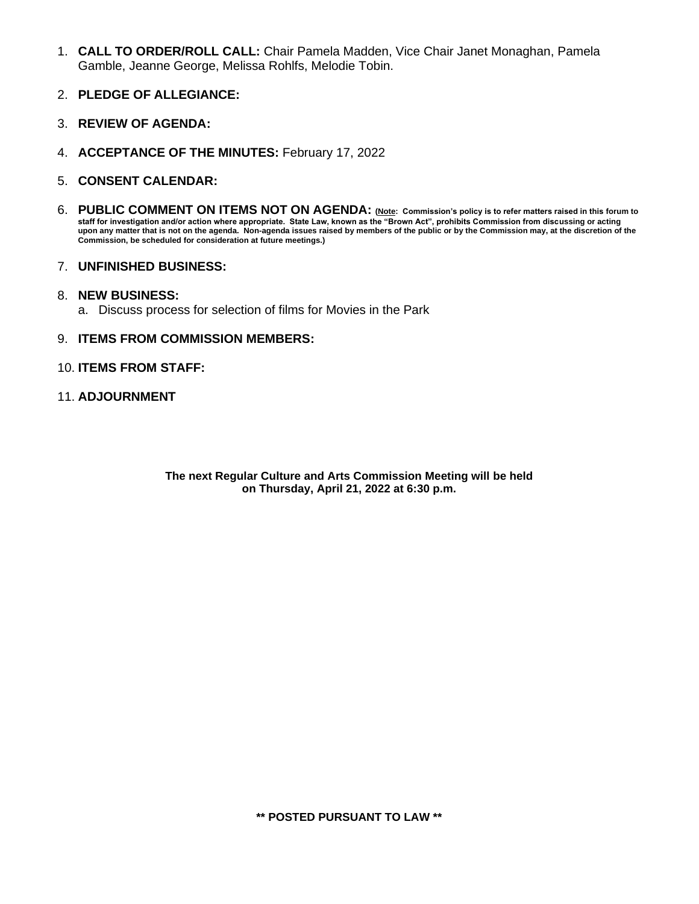- 1. **CALL TO ORDER/ROLL CALL:** Chair Pamela Madden, Vice Chair Janet Monaghan, Pamela Gamble, Jeanne George, Melissa Rohlfs, Melodie Tobin.
- 2. **PLEDGE OF ALLEGIANCE:**
- 3. **REVIEW OF AGENDA:**
- 4. **ACCEPTANCE OF THE MINUTES:** February 17, 2022
- 5. **CONSENT CALENDAR:**
- 6. **PUBLIC COMMENT ON ITEMS NOT ON AGENDA: (Note: Commission's policy is to refer matters raised in this forum to staff for investigation and/or action where appropriate. State Law, known as the "Brown Act", prohibits Commission from discussing or acting upon any matter that is not on the agenda. Non-agenda issues raised by members of the public or by the Commission may, at the discretion of the Commission, be scheduled for consideration at future meetings.)**
- 7. **UNFINISHED BUSINESS:**

#### 8. **NEW BUSINESS:**

a. Discuss process for selection of films for Movies in the Park

#### 9. **ITEMS FROM COMMISSION MEMBERS:**

#### 10. **ITEMS FROM STAFF:**

#### 11. **ADJOURNMENT**

**The next Regular Culture and Arts Commission Meeting will be held on Thursday, April 21, 2022 at 6:30 p.m.**

**\*\* POSTED PURSUANT TO LAW \*\***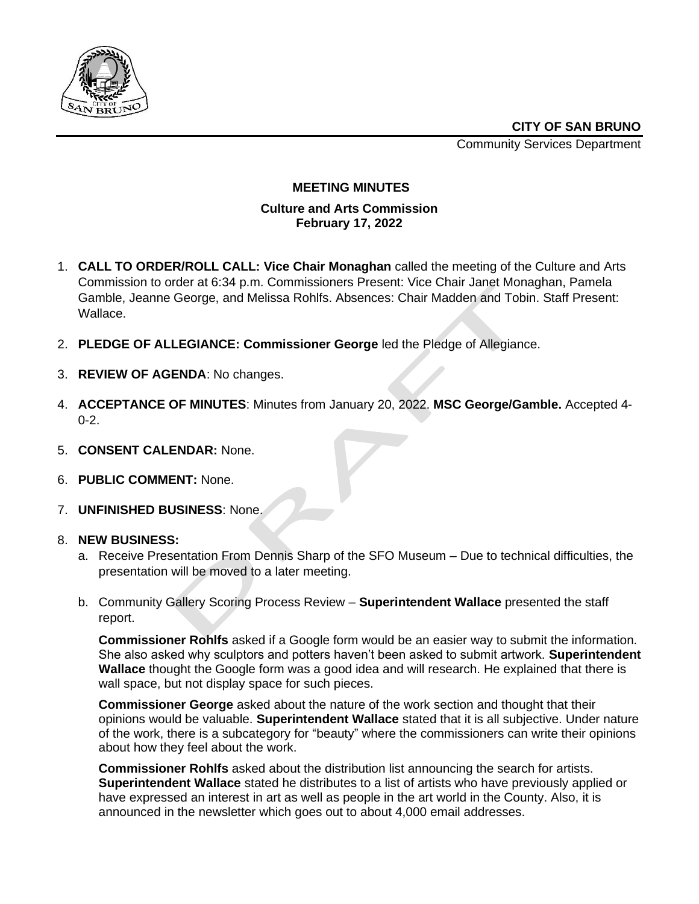

Community Services Department



## **MEETING MINUTES**

## **Culture and Arts Commission February 17, 2022**

- 1. **CALL TO ORDER/ROLL CALL: Vice Chair Monaghan** called the meeting of the Culture and Arts Commission to order at 6:34 p.m. Commissioners Present: Vice Chair Janet Monaghan, Pamela Gamble, Jeanne George, and Melissa Rohlfs. Absences: Chair Madden and Tobin. Staff Present: Wallace.
- 2. **PLEDGE OF ALLEGIANCE: Commissioner George** led the Pledge of Allegiance.
- 3. **REVIEW OF AGENDA**: No changes.
- 4. **ACCEPTANCE OF MINUTES**: Minutes from January 20, 2022. **MSC George/Gamble.** Accepted 4-  $0 - 2$ .
- 5. **CONSENT CALENDAR:** None.
- 6. **PUBLIC COMMENT:** None.
- 7. **UNFINISHED BUSINESS**: None.

# 8. **NEW BUSINESS:**

- a. Receive Presentation From Dennis Sharp of the SFO Museum Due to technical difficulties, the presentation will be moved to a later meeting.
- b. Community Gallery Scoring Process Review **Superintendent Wallace** presented the staff report.

**Commissioner Rohlfs** asked if a Google form would be an easier way to submit the information. She also asked why sculptors and potters haven't been asked to submit artwork. **Superintendent Wallace** thought the Google form was a good idea and will research. He explained that there is wall space, but not display space for such pieces.

**Commissioner George** asked about the nature of the work section and thought that their opinions would be valuable. **Superintendent Wallace** stated that it is all subjective. Under nature of the work, there is a subcategory for "beauty" where the commissioners can write their opinions about how they feel about the work.

**Commissioner Rohlfs** asked about the distribution list announcing the search for artists. **Superintendent Wallace** stated he distributes to a list of artists who have previously applied or have expressed an interest in art as well as people in the art world in the County. Also, it is announced in the newsletter which goes out to about 4,000 email addresses.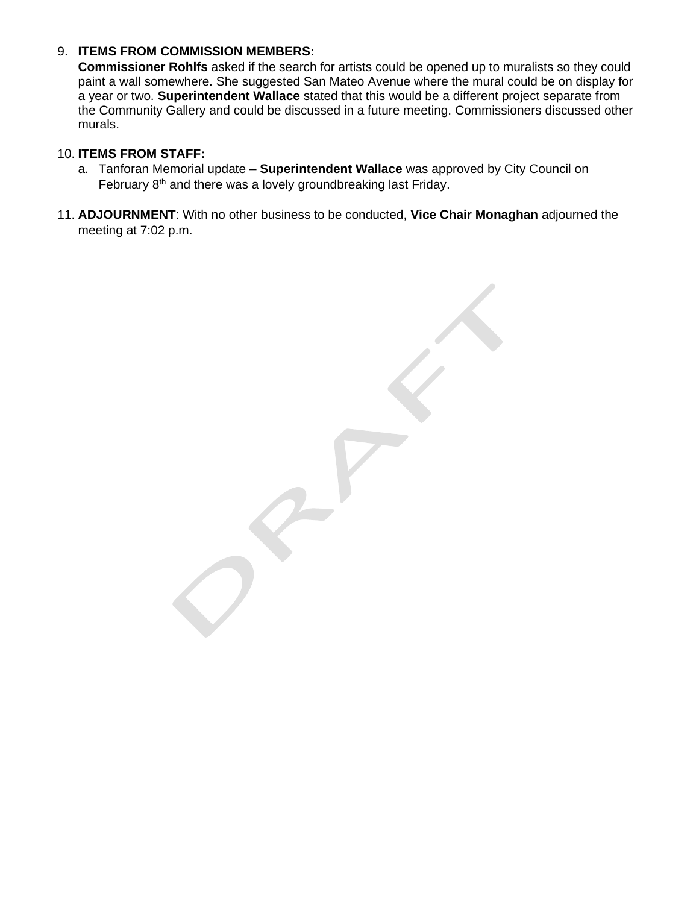# 9. **ITEMS FROM COMMISSION MEMBERS:**

**Commissioner Rohlfs** asked if the search for artists could be opened up to muralists so they could paint a wall somewhere. She suggested San Mateo Avenue where the mural could be on display for a year or two. **Superintendent Wallace** stated that this would be a different project separate from the Community Gallery and could be discussed in a future meeting. Commissioners discussed other murals.

## 10. **ITEMS FROM STAFF:**

- a. Tanforan Memorial update **Superintendent Wallace** was approved by City Council on February 8<sup>th</sup> and there was a lovely groundbreaking last Friday.
- 11. **ADJOURNMENT**: With no other business to be conducted, **Vice Chair Monaghan** adjourned the meeting at 7:02 p.m.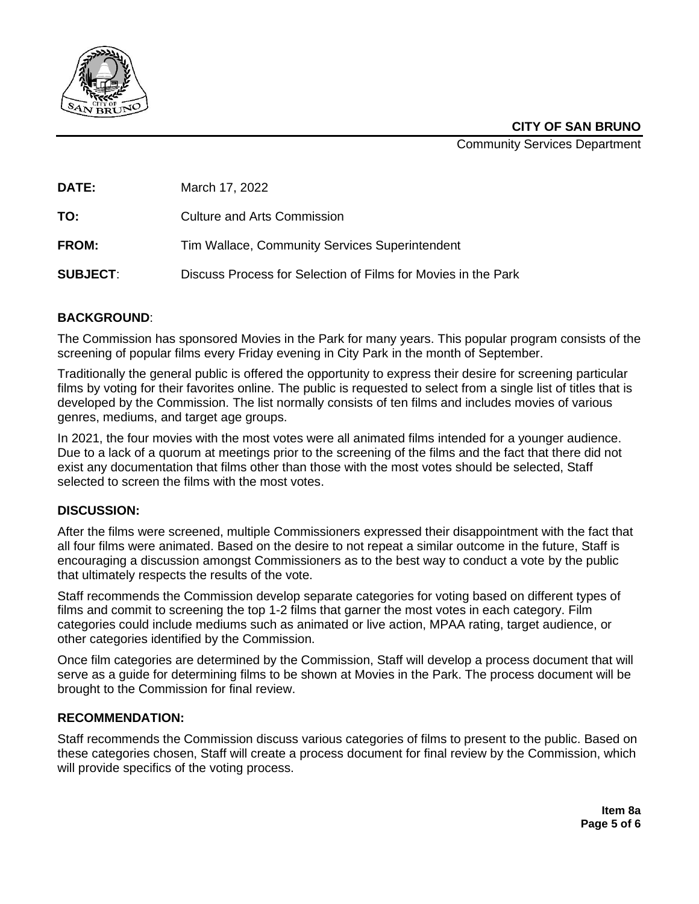

**CITY OF SAN BRUNO**

Community Services Department

**DATE:** March 17, 2022

**TO:** Culture and Arts Commission

FROM: Tim Wallace, Community Services Superintendent

**SUBJECT**: Discuss Process for Selection of Films for Movies in the Park

# **BACKGROUND**:

The Commission has sponsored Movies in the Park for many years. This popular program consists of the screening of popular films every Friday evening in City Park in the month of September.

Traditionally the general public is offered the opportunity to express their desire for screening particular films by voting for their favorites online. The public is requested to select from a single list of titles that is developed by the Commission. The list normally consists of ten films and includes movies of various genres, mediums, and target age groups.

In 2021, the four movies with the most votes were all animated films intended for a younger audience. Due to a lack of a quorum at meetings prior to the screening of the films and the fact that there did not exist any documentation that films other than those with the most votes should be selected, Staff selected to screen the films with the most votes.

# **DISCUSSION:**

After the films were screened, multiple Commissioners expressed their disappointment with the fact that all four films were animated. Based on the desire to not repeat a similar outcome in the future, Staff is encouraging a discussion amongst Commissioners as to the best way to conduct a vote by the public that ultimately respects the results of the vote.

Staff recommends the Commission develop separate categories for voting based on different types of films and commit to screening the top 1-2 films that garner the most votes in each category. Film categories could include mediums such as animated or live action, MPAA rating, target audience, or other categories identified by the Commission.

Once film categories are determined by the Commission, Staff will develop a process document that will serve as a guide for determining films to be shown at Movies in the Park. The process document will be brought to the Commission for final review.

#### **RECOMMENDATION:**

Staff recommends the Commission discuss various categories of films to present to the public. Based on these categories chosen, Staff will create a process document for final review by the Commission, which will provide specifics of the voting process.

> **Item 8a Page 5 of 6**